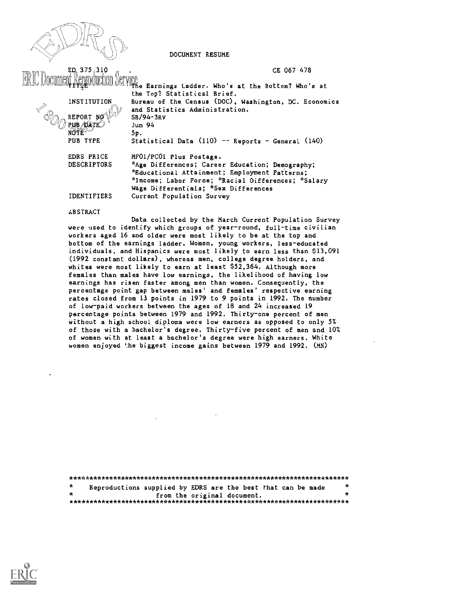DOCUMENT RESUME

Earnings Ladder. Who's at the Bottom? Who's at

CE 067 478

ED 375,310

|                    | the Top? Statistical Brief.                           |
|--------------------|-------------------------------------------------------|
| <b>INSTITUTION</b> | Bureau of the Census (DOC), Washington, DC. Economics |
|                    | and Statistics Administration.                        |
| REPORT NO          | SB/94-3RV                                             |
| pub /date_         | Jun 94                                                |
|                    | 5р.                                                   |
| PUB TYPE           | Statistical Data (110) -- Reports - General (140)     |
| EDRS PRICE         | MF01/PC01 Plus Postage.                               |
| <b>DESCRIPTORS</b> | *Age Differences; Career Education; Demography;       |
|                    | *Educational Attainment; Employment Patterns;         |
|                    | *Income; Labor Force; *Racial Differences; *Salary    |
|                    | Wage Differentials; *Sex Differences                  |
| <b>IDENTIFIERS</b> | Current Population Survey                             |

#### **ABSTRACT**

Data collected by the March Current Population Survey were used to identify which groups of year-round, full-time civilian workers aged 16 and older were most likely to be at the top and bottom of the earnings ladder. Women, young workers, less-educated individuals, and Hispanics were most likely to earn less than \$13,091 (1992 constant dollars), whereas men, college degree holders, and whites were most likely to earn at least \$52,364. Although more females than males have low earnings, the likelihood of having low earnings has risen faster among men than women. Consequently, the percentage point gap between males' and females' respective earning rates closed from 13 points in 1979 to 9 points in 1992. The number of low-paid workers between the ages of 18 and 24 increased 19 percentage points between 1979 and 1992. Thirty-one percent of men without a high school diploma were low earners as opposed to only 5% of those with a bachelor's degree. Thirty-five percent of men and 10% of women with at least a bachelor's degree were high earners. White women enjoyed 'he biggest income gains between 1979 and 1992. (MN)

| - * | Reproductions supplied by EDRS are the best that can be made | $\star$ |
|-----|--------------------------------------------------------------|---------|
|     | from the original document.                                  | $\star$ |
|     |                                                              |         |

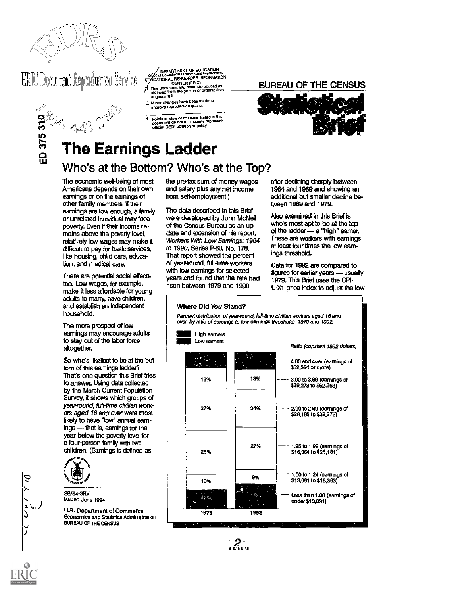

# **ERIC Document Reproduction Service**

ED 375 310

- U.S. DEPARTMENT OF EDUCATION<br>
Onto or Educational Resourch and improvement<br>
EDUCATIONAL RESOURCES INFORMATION<br>
This document has been reproduced as<br>
The document has been reproduced as<br>
on received tiom the person or organ
- 
- C. Minor changes have been made to<br>
mprove reproduction quality.
	- Points of view or opinions stated in this<br>document do not necessarily represent<br>official OERI position or policy

## BUREAU OF THE CENSUS



# **The Earnings Ladder** Who's at the Bottom? Who's at the Top?

The economic well-being of most Americans depends on their own earnings or on the earnings of other family members. If their earnings are low enough, a family or unrelated individual may face poverty. Even if their income remains above the poverty level. relatively low wages may make it difficult to pay for basic services, like housing, child care, education, and medical care.

There are potential social effects too. Low wages, for example, make it less affordable for young adults to marry, have children, and establish an independent household.

The mere prospect of low earnings may encourage adults to stay out of the labor force altogether.

So who's likeliest to be at the bottorn of this earnings ladder? That's one question this Brief tries to answer. Using data collected by the March Current Population Survey, it shows which groups of year-round, full-time civilian workers aged 16 and over were most likely to have "low" annual earnings - that is, earnings for the year below the poverty level for a four-person family with two children. (Earnings is defined as



コっこ

SB/94-3RV Issued June 1994

U.S. Department of Commerce Economics and Statistics Administration BUREAU OF THE CENSUS

the pre-tax sum of money wages and salary plus any net income from self-employment.)

The data described in this Brief were developed by John McNeil of the Census Bureau as an update and extension of his report, Workers With Low Earnings: 1964 to 1990, Series P-60, No. 178. That report showed the percent of year-round, full-time workers with low earnings for selected years and found that the rate had risen between 1979 and 1990

after declining sharply between 1964 and 1969 and showing an additional but smaller decline between 1969 and 1979.

Also examined in this Brief is who's most apt to be at the top of the ladder - a "high" eamer. These are workers with earnings at least four times the low eamings threshold.

Data for 1992 are compared to figures for earlier years - usually 1979. This Brief uses the CPI-U-X1 price index to adjust the low



ستيم،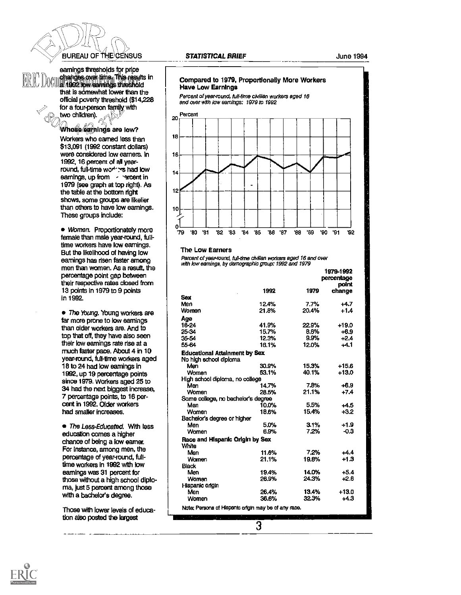# **BUREAU OF THE CENSUS**

earnings thresholds for price **OCULTABLE over time. This results in**<br>COLLEGEOR www.earnings.threshold that is somewhat lower than the official poverty threshold (\$14,228 for a four-person family with two children).

#### Whose earnings are low? Workers who earned less than \$13,091 (1992 constant dollars) were considered low earners. In 1992, 16 percent of all yearround, full-time workers had low earnings, up from - report in 1979 (see graph at top right). As the table at the bottom right shows, some groups are likelier than others to have low earnings. These groups include:

· Women. Proportionately more female than male year-round, fulltime workers have low earnings. But the likelihood of having low earnings has risen faster among men than women. As a result, the percentage point gap between their respective rates closed from 13 points in 1979 to 9 points in 1992.

• The Young. Young workers are far more prone to low earnings than older workers are. And to top that off, they have also seen their low earnings rate rise at a much faster pace. About 4 in 10 year-round, full-time workers aged 18 to 24 had low earnings in 1992, up 19 percentage points since 1979. Workers aged 25 to 34 had the next biggest increase, 7 percentage points, to 16 percent in 1992. Older workers had smaller increases.

• The Less-Educated. With less education comes a higher chance of being a low earner. For instance, among men, the percentage of year-round, fulltime workers in 1992 with low earnings was 31 percent for those without a high school diploma, just 5 percent among those with a bachelor's degree.

Those with lower levels of education also posted the largest

#### **STATISTICAL BRIEF**

**June 1994** 



#### The Low Earners

Parcent of year-round, full-time civilian workars aged 16 and over with low earnings, by demographic group: 1992 and 1979

|                                                                | 1979-1992<br>percentage<br>point |         |         |
|----------------------------------------------------------------|----------------------------------|---------|---------|
|                                                                | 1992                             | 1979    | change  |
| <b>Sex</b>                                                     |                                  |         |         |
| Men                                                            | 12.4%                            | 7.7%    | $+4.7$  |
| Women                                                          | 21.8%                            | 20.4%   | $+1.4$  |
| Age                                                            |                                  |         |         |
| 18-24                                                          | 41.9%                            | 22.9%   | +19.0   |
| 25-34                                                          | 15.7%                            | 8.8%    | $+6.9$  |
| 35-54                                                          | 12.3%                            | 9.9%    | $+2.4$  |
| 55-64                                                          | 16.1%                            | 12.0%   | $+4.1$  |
| <b>Educational Attainment by Sex</b><br>No high school diploma |                                  |         |         |
| Men                                                            | 30.9%                            | 15.3%   | $+15.6$ |
| Women                                                          | 63.1%                            | 40.1%   | $+13.0$ |
| High school diploma, no college                                |                                  |         |         |
| Man                                                            | 14.7%                            | 7.8%    | $+6.9$  |
| Women                                                          | 28.5%                            | 21.1%   | $+7.4$  |
| Some college, no bachelor's degree                             |                                  |         |         |
| Men                                                            | 10.0%                            | 5.5%    | $+4.5$  |
| Women                                                          | 18.6%                            | 15.4%   | $+3.2$  |
| Bachelor's degree or higher                                    |                                  |         |         |
| Men                                                            | 5.0%                             | $3.1\%$ | -1.9    |
| Women                                                          | 6.9%                             | 7.2%    | $-0.3$  |
| Race and Hispanic Origin by Sex<br>White                       |                                  |         |         |
| Men                                                            | 11.6%                            | 7.2%    | $+4.4$  |
| Women                                                          | 21.1%                            | 19.8%   | $+1.3$  |
| Black                                                          |                                  |         |         |
| Men                                                            | 19.4%                            | 14.0%   | $+5.4$  |
| Women                                                          | 26.9%                            | 24.3%   | $+2.6$  |
| Hispanic origin                                                |                                  |         |         |
| Men                                                            | 26.4%                            | 13.4%   | $+13.0$ |
| Women                                                          | 36.6%                            | 32.3%   | $+4.3$  |
| Note: Persons of Hispanic origin may be of any race.<br>æ      |                                  |         |         |

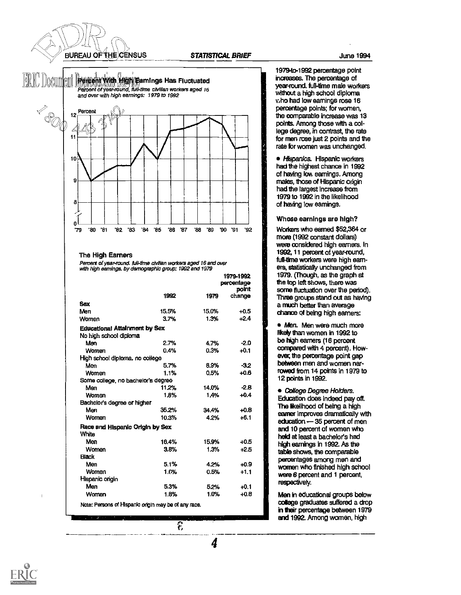

#### STATISTICAL BRIEF June 1994



#### The High Earners

Percent of year-round, full-time civilian workers aged 16 and over with high earnings, by demographic group: 1992 and 1979

|                                      |       | 1979-1992<br>percentage |                 |  |
|--------------------------------------|-------|-------------------------|-----------------|--|
|                                      | 1992  | 1979                    | point<br>change |  |
| Sex                                  |       |                         |                 |  |
| Men                                  | 15.5% | 15.0%                   | $+0.5$          |  |
| Women                                | 3.7%  | 1.3%                    | $+2.4$          |  |
| <b>Educational Attainment by Sex</b> |       |                         |                 |  |
| No high school diploma               |       |                         |                 |  |
| Men                                  | 2.7%  | 4.7%                    | $-2.0$          |  |
| <b>Women</b>                         | 0.4%  | 0.3%                    | $+0.1$          |  |
| High school diploma, no college      |       |                         |                 |  |
| Men                                  | 5.7%  | 8.9%                    | $-3.2$          |  |
| <b>Women</b>                         | 1.1%  | 0.5%                    | $+0.6$          |  |
| Some college, no bachelor's degree   |       |                         |                 |  |
| Men                                  | 11.2% | 14.0%                   | $-2.8$          |  |
| Women                                | 1.8%  | 1.4%                    | $+0.4$          |  |
| Bachelor's degree or higher          |       |                         |                 |  |
| Men                                  | 35.2% | 34.4%                   | $+0.8$          |  |
| Women                                | 10.3% | 4.2%                    | $+6.1$          |  |
| Race and Hispanic Origin by Sex      |       |                         |                 |  |
| White                                |       |                         |                 |  |
| Men                                  | 16.4% | 15.9%                   | $+0.5$          |  |
| Women                                | 3.8%  | 1.3%                    | $+2.5$          |  |
| <b>Black</b>                         |       |                         |                 |  |
| Men                                  | 5.1%  | 4.2%                    | $+0.9$          |  |
| Women                                | 1.0%  | 0.5%                    | $+1.1$          |  |
| Hispanic origin                      |       |                         |                 |  |
| Men                                  | 5.3%  | 5.2%                    | $+0.1$          |  |
|                                      |       |                         |                 |  |

19794o-1992 percentage point increases. The percentage of year-round, full-time male workers without a high school diploma v.ho had low earnings rose 16 percentage points; for women, the comparable increase was 13 points. Among those with a college degree, in contrast the rate for men rose just 2 points and the rate for women was unchanged.

• Hispanics. Hispanic workers had the highest chance in 1992 of having low earnings. Among males, those of Hispanic origin had the largest Increase from 1979 to 1992 in the likelihood of having low earnings.

#### Whose earnings are high?

Workers who earned \$52,364 or mom (1992 constant dollars) were considered high earners. In 1992,11 percent of year-round, full-time workers were high earners, statistically unchanged from 1979. (though, as the graph at the top left shows, there was some fluctuation over the period). Three groups stand out as having a much better than average chance of being high earners:

 $\frac{1}{2}$  12 points in 1992. • Men. Men were much more likely than women in 1992 to be high earners (16 percent compared with 4 percent). However, the percentage point gap between men and women narrowed from 14 points in 1979 to

> **• College Degree Holders.** Education does Indeed pay off. The likelihood of being a high earner improves dramatically with education - 35 percent of men and 10 percent of women who held at least a bachelor's had high earnings in 1992. As the table shows, the comparable percentages among men and women who finished high school were 6 percent and 1 percent, respectively.

> Men in educational groups below colege graduates suffered a drop in their percentage between 1979 and 1992. Among women, high



P,